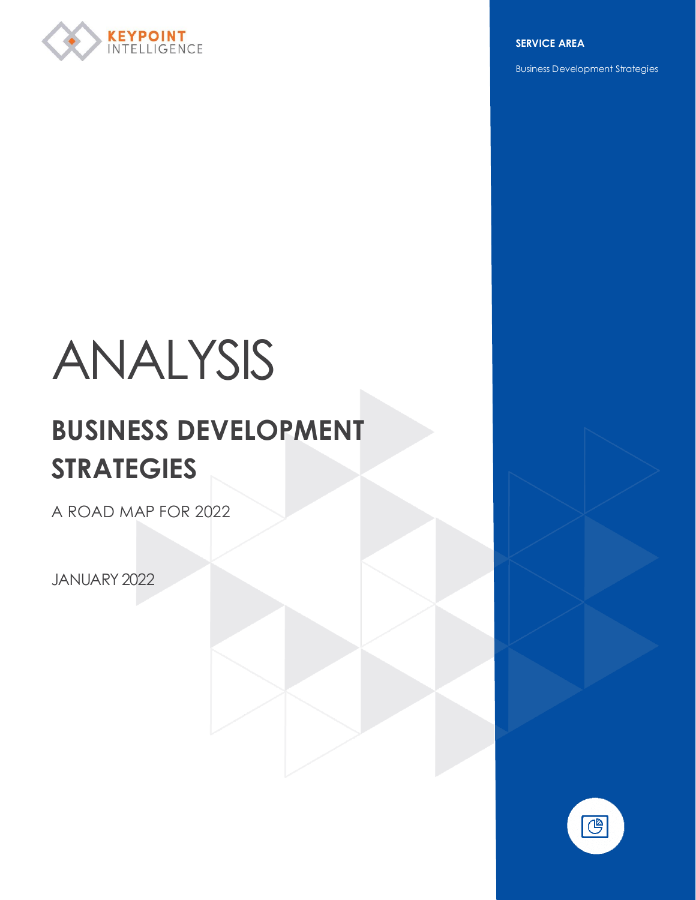

**SERVICE AREA**

Business Development Strategies

# ANALYSIS

# **BUSINESS DEVELOPMENT STRATEGIES**

A ROAD MAP FOR 2022

JANUARY 2022

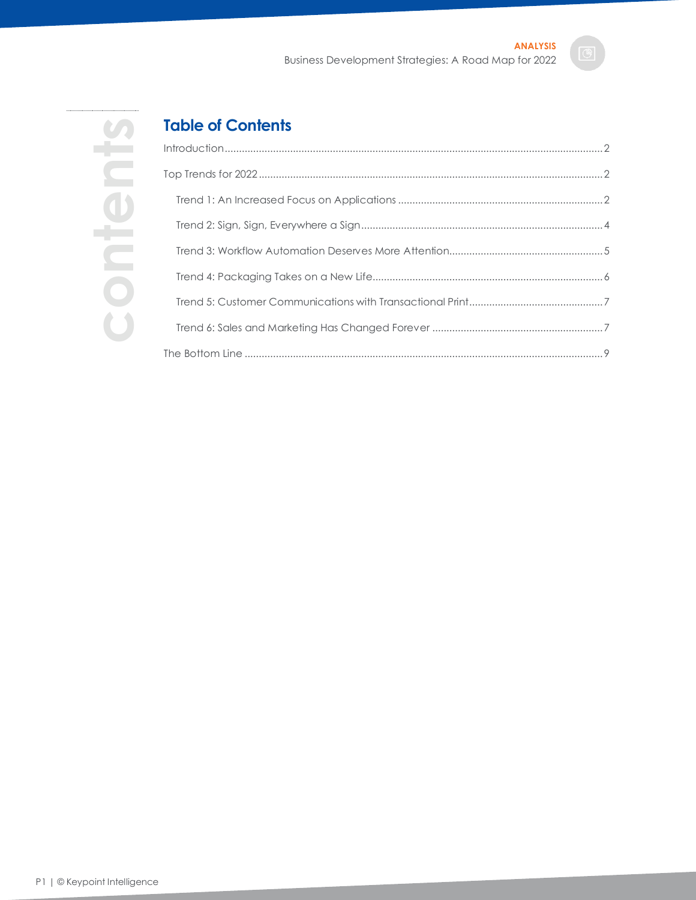

**contents**

# **Table of Contents**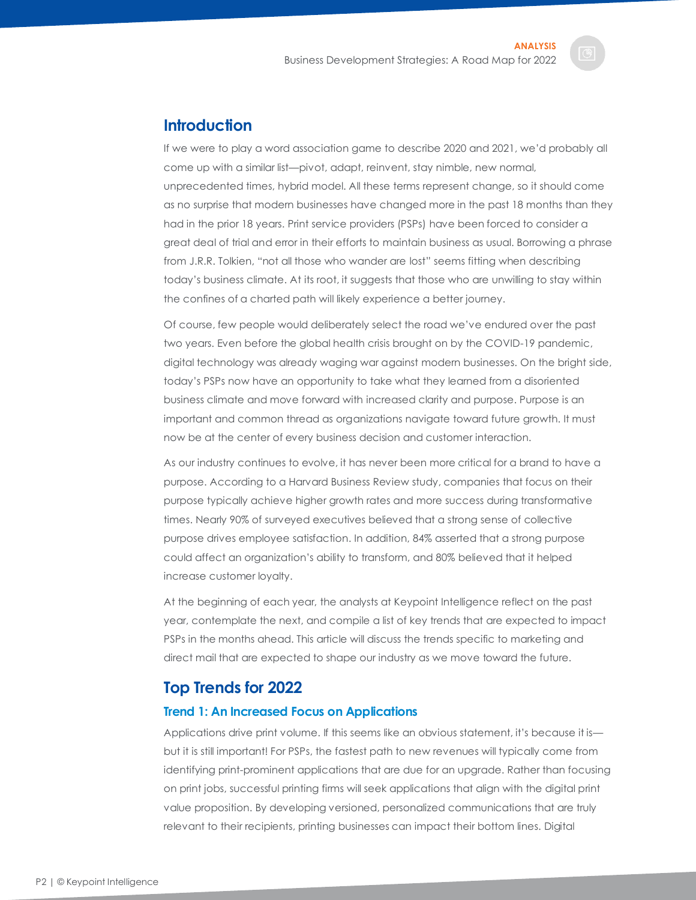# <span id="page-2-0"></span>**Introduction**

If we were to play a word association game to describe 2020 and 2021, we'd probably all come up with a similar list—pivot, adapt, reinvent, stay nimble, new normal, unprecedented times, hybrid model. All these terms represent change, so it should come as no surprise that modern businesses have changed more in the past 18 months than they had in the prior 18 years. Print service providers (PSPs) have been forced to consider a great deal of trial and error in their efforts to maintain business as usual. Borrowing a phrase from J.R.R. Tolkien, "not all those who wander are lost" seems fitting when describing today's business climate. At its root, it suggests that those who are unwilling to stay within the confines of a charted path will likely experience a better journey.

Of course, few people would deliberately select the road we've endured over the past two years. Even before the global health crisis brought on by the COVID-19 pandemic, digital technology was already waging war against modern businesses. On the bright side, today's PSPs now have an opportunity to take what they learned from a disoriented business climate and move forward with increased clarity and purpose. Purpose is an important and common thread as organizations navigate toward future growth. It must now be at the center of every business decision and customer interaction.

As our industry continues to evolve, it has never been more critical for a brand to have a purpose. According to a Harvard Business Review study, companies that focus on their purpose typically achieve higher growth rates and more success during transformative times. Nearly 90% of surveyed executives believed that a strong sense of collective purpose drives employee satisfaction. In addition, 84% asserted that a strong purpose could affect an organization's ability to transform, and 80% believed that it helped increase customer loyalty.

At the beginning of each year, the analysts at Keypoint Intelligence reflect on the past year, contemplate the next, and compile a list of key trends that are expected to impact PSPs in the months ahead. This article will discuss the trends specific to marketing and direct mail that are expected to shape our industry as we move toward the future.

# <span id="page-2-1"></span>**Top Trends for 2022**

# <span id="page-2-2"></span>**Trend 1: An Increased Focus on Applications**

Applications drive print volume. If this seems like an obvious statement, it's because it is but it is still important! For PSPs, the fastest path to new revenues will typically come from identifying print-prominent applications that are due for an upgrade. Rather than focusing on print jobs, successful printing firms will seek applications that align with the digital print value proposition. By developing versioned, personalized communications that are truly relevant to their recipients, printing businesses can impact their bottom lines. Digital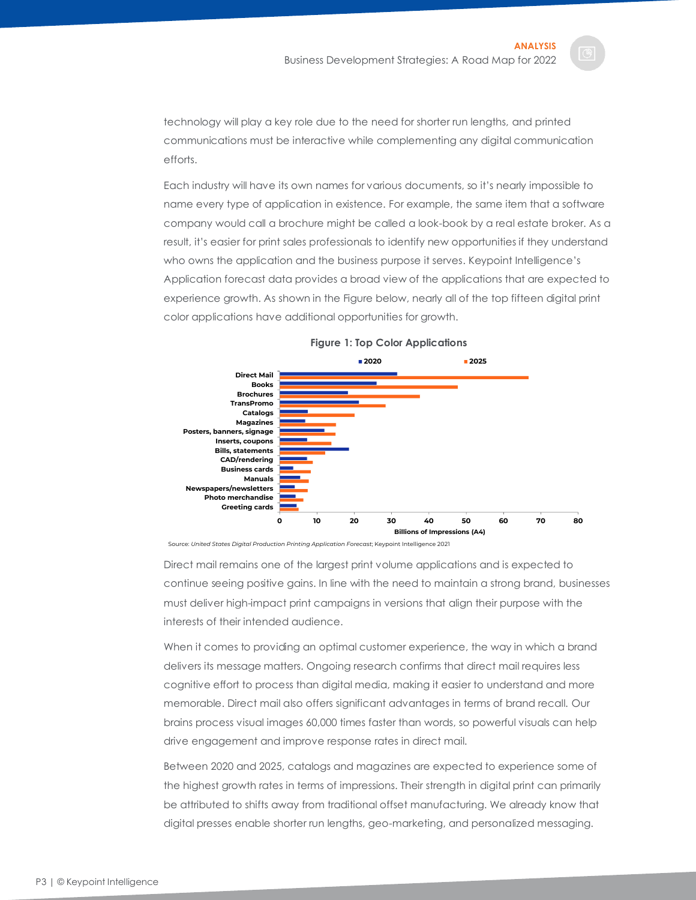technology will play a key role due to the need for shorter run lengths, and printed communications must be interactive while complementing any digital communication efforts.

Each industry will have its own names for various documents, so it's nearly impossible to name every type of application in existence. For example, the same item that a software company would call a brochure might be called a look-book by a real estate broker. As a result, it's easier for print sales professionals to identify new opportunities if they understand who owns the application and the business purpose it serves. Keypoint Intelligence's Application forecast data provides a broad view of the applications that are expected to experience growth. As shown in the Figure below, nearly all of the top fifteen digital print color applications have additional opportunities for growth.



#### **Figure 1: Top Color Applications**

Source: *United States Digital Production Printing Application Forecast*; Keypoint Intelligence 2021

Direct mail remains one of the largest print volume applications and is expected to continue seeing positive gains. In line with the need to maintain a strong brand, businesses must deliver high-impact print campaigns in versions that align their purpose with the interests of their intended audience.

When it comes to providing an optimal customer experience, the way in which a brand delivers its message matters. Ongoing research confirms that direct mail requires less cognitive effort to process than digital media, making it easier to understand and more memorable. Direct mail also offers significant advantages in terms of brand recall. Our brains process visual images 60,000 times faster than words, so powerful visuals can help drive engagement and improve response rates in direct mail.

Between 2020 and 2025, catalogs and magazines are expected to experience some of the highest growth rates in terms of impressions. Their strength in digital print can primarily be attributed to shifts away from traditional offset manufacturing. We already know that digital presses enable shorter run lengths, geo-marketing, and personalized messaging.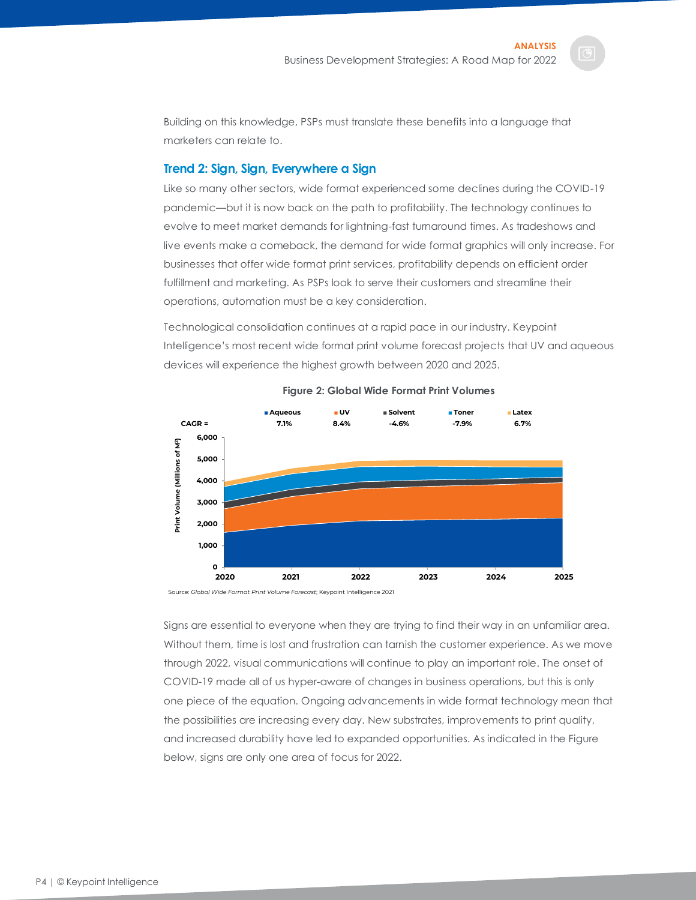Building on this knowledge, PSPs must translate these benefits into a language that marketers can relate to.

## <span id="page-4-0"></span>**Trend 2: Sign, Sign, Everywhere a Sign**

Like so many other sectors, wide format experienced some declines during the COVID-19 pandemic—but it is now back on the path to profitability. The technology continues to evolve to meet market demands for lightning-fast turnaround times. As tradeshows and live events make a comeback, the demand for wide format graphics will only increase. For businesses that offer wide format print services, profitability depends on efficient order fulfillment and marketing. As PSPs look to serve their customers and streamline their operations, automation must be a key consideration.

Technological consolidation continues at a rapid pace in our industry. Keypoint Intelligence's most recent wide format print volume forecast projects that UV and aqueous devices will experience the highest growth between 2020 and 2025.



**Figure 2: Global Wide Format Print Volumes**

Source: *Global Wide Format Print Volume Forecast*; Keypoint Intelligence 2021

Signs are essential to everyone when they are trying to find their way in an unfamiliar area. Without them, time is lost and frustration can tarnish the customer experience. As we move through 2022, visual communications will continue to play an important role. The onset of COVID-19 made all of us hyper-aware of changes in business operations, but this is only one piece of the equation. Ongoing advancements in wide format technology mean that the possibilities are increasing every day. New substrates, improvements to print quality, and increased durability have led to expanded opportunities. As indicated in the Figure below, signs are only one area of focus for 2022.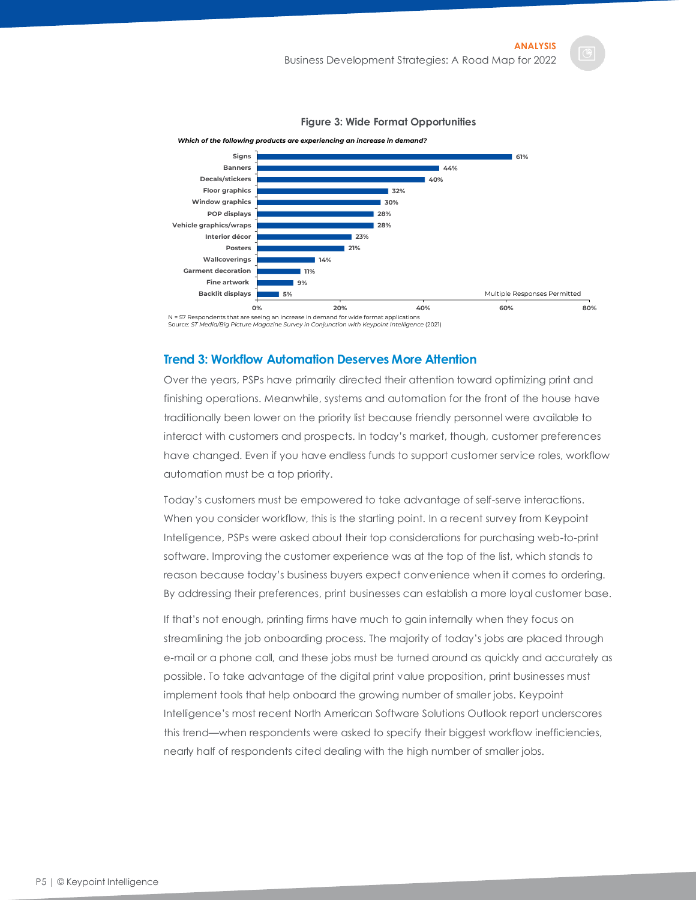

#### **Figure 3: Wide Format Opportunities**

N = 57 Respondents that are seeing an increase in demand for wide format applications Source: *ST Media/Big Picture Magazine Survey in Conjunction with Keypoint Intelligence* (2021)

#### <span id="page-5-0"></span>**Trend 3: Workflow Automation Deserves More Attention**

Over the years, PSPs have primarily directed their attention toward optimizing print and finishing operations. Meanwhile, systems and automation for the front of the house have traditionally been lower on the priority list because friendly personnel were available to interact with customers and prospects. In today's market, though, customer preferences have changed. Even if you have endless funds to support customer service roles, workflow automation must be a top priority.

Today's customers must be empowered to take advantage of self-serve interactions. When you consider workflow, this is the starting point. In a recent survey from Keypoint Intelligence, PSPs were asked about their top considerations for purchasing web-to-print software. Improving the customer experience was at the top of the list, which stands to reason because today's business buyers expect convenience when it comes to ordering. By addressing their preferences, print businesses can establish a more loyal customer base.

If that's not enough, printing firms have much to gain internally when they focus on streamlining the job onboarding process. The majority of today's jobs are placed through e-mail or a phone call, and these jobs must be turned around as quickly and accurately as possible. To take advantage of the digital print value proposition, print businesses must implement tools that help onboard the growing number of smaller jobs. Keypoint Intelligence's most recent North American Software Solutions Outlook report underscores this trend—when respondents were asked to specify their biggest workflow inefficiencies, nearly half of respondents cited dealing with the high number of smaller jobs.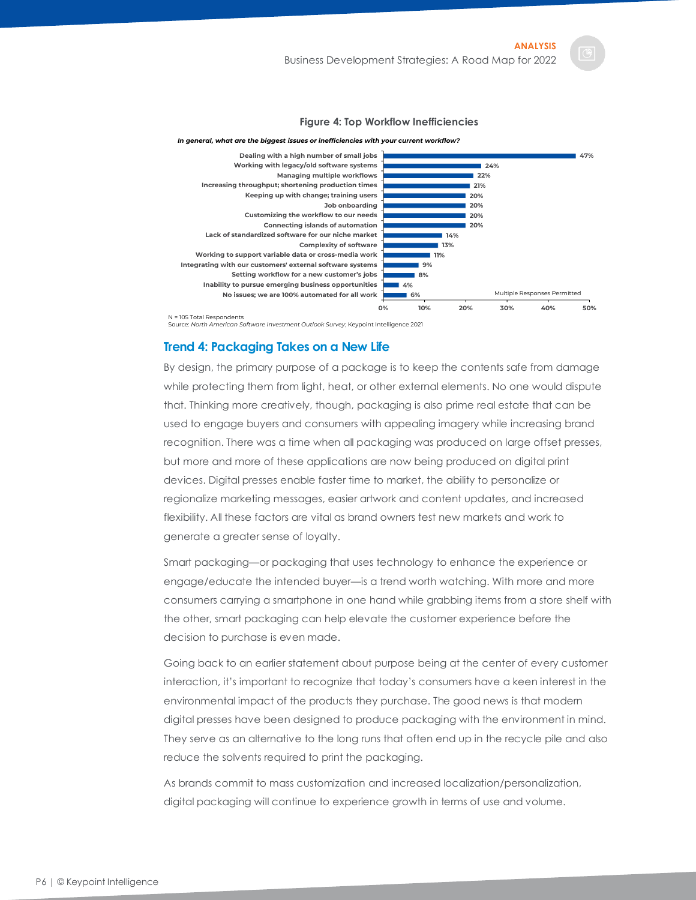#### **Figure 4: Top Workflow Inefficiencies**



#### *In general, what are the biggest issues or inefficiencies with your current workflow?*

Source: *North American Software Investment Outlook Survey*; Keypoint Intelligence 2021

# <span id="page-6-0"></span>**Trend 4: Packaging Takes on a New Life**

By design, the primary purpose of a package is to keep the contents safe from damage while protecting them from light, heat, or other external elements. No one would dispute that. Thinking more creatively, though, packaging is also prime real estate that can be used to engage buyers and consumers with appealing imagery while increasing brand recognition. There was a time when all packaging was produced on large offset presses, but more and more of these applications are now being produced on digital print devices. Digital presses enable faster time to market, the ability to personalize or regionalize marketing messages, easier artwork and content updates, and increased flexibility. All these factors are vital as brand owners test new markets and work to generate a greater sense of loyalty.

Smart packaging—or packaging that uses technology to enhance the experience or engage/educate the intended buyer—is a trend worth watching. With more and more consumers carrying a smartphone in one hand while grabbing items from a store shelf with the other, smart packaging can help elevate the customer experience before the decision to purchase is even made.

Going back to an earlier statement about purpose being at the center of every customer interaction, it's important to recognize that today's consumers have a keen interest in the environmental impact of the products they purchase. The good news is that modern digital presses have been designed to produce packaging with the environment in mind. They serve as an alternative to the long runs that often end up in the recycle pile and also reduce the solvents required to print the packaging.

As brands commit to mass customization and increased localization/personalization, digital packaging will continue to experience growth in terms of use and volume.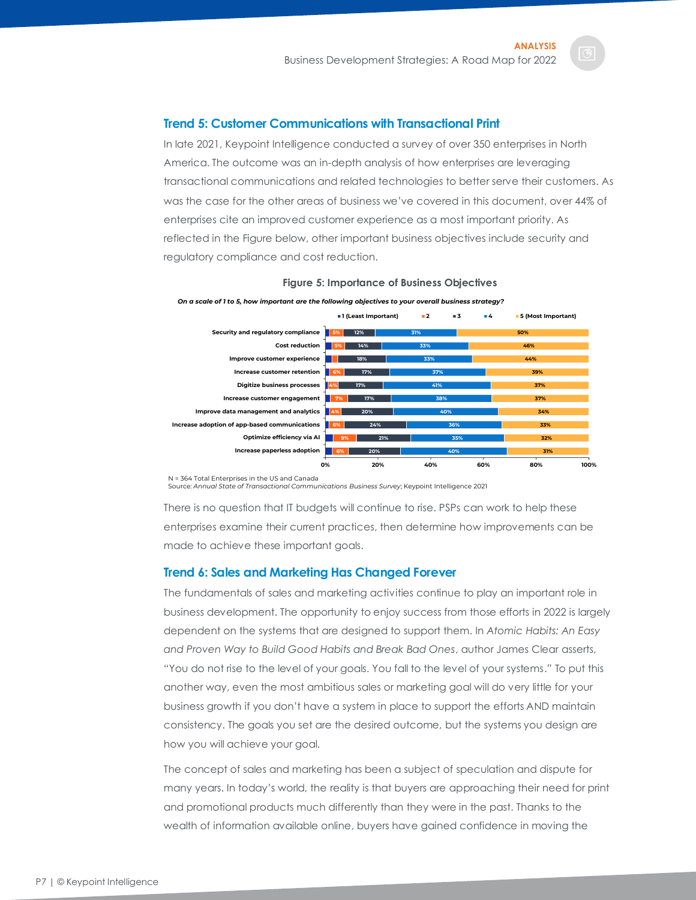## <span id="page-7-0"></span>**Trend 5: Customer Communications with Transactional Print**

In late 2021, Keypoint Intelligence conducted a survey of over 350 enterprises in North America. The outcome was an in-depth analysis of how enterprises are leveraging transactional communications and related technologies to better serve their customers. As was the case for the other areas of business we've covered in this document, over 44% of enterprises cite an improved customer experience as a most important priority. As reflected in the Figure below, other important business objectives include security and regulatory compliance and cost reduction.

**Figure 5: Importance of Business Objectives**





Source: *Annual State of Transactional Communications Business Survey*; Keypoint Intelligence 2021

There is no question that IT budgets will continue to rise. PSPs can work to help these enterprises examine their current practices, then determine how improvements can be made to achieve these important goals.

#### <span id="page-7-1"></span>**Trend 6: Sales and Marketing Has Changed Forever**

The fundamentals of sales and marketing activities continue to play an important role in business development. The opportunity to enjoy success from those efforts in 2022 is largely dependent on the systems that are designed to support them. In *Atomic Habits: An Easy and Proven Way to Build Good Habits and Break Bad Ones*, author James Clear asserts, "You do not rise to the level of your goals. You fall to the level of your systems." To put this another way, even the most ambitious sales or marketing goal will do very little for your business growth if you don't have a system in place to support the efforts AND maintain consistency. The goals you set are the desired outcome, but the systems you design are how you will achieve your goal.

The concept of sales and marketing has been a subject of speculation and dispute for many years. In today's world, the reality is that buyers are approaching their need for print and promotional products much differently than they were in the past. Thanks to the wealth of information available online, buyers have gained confidence in moving the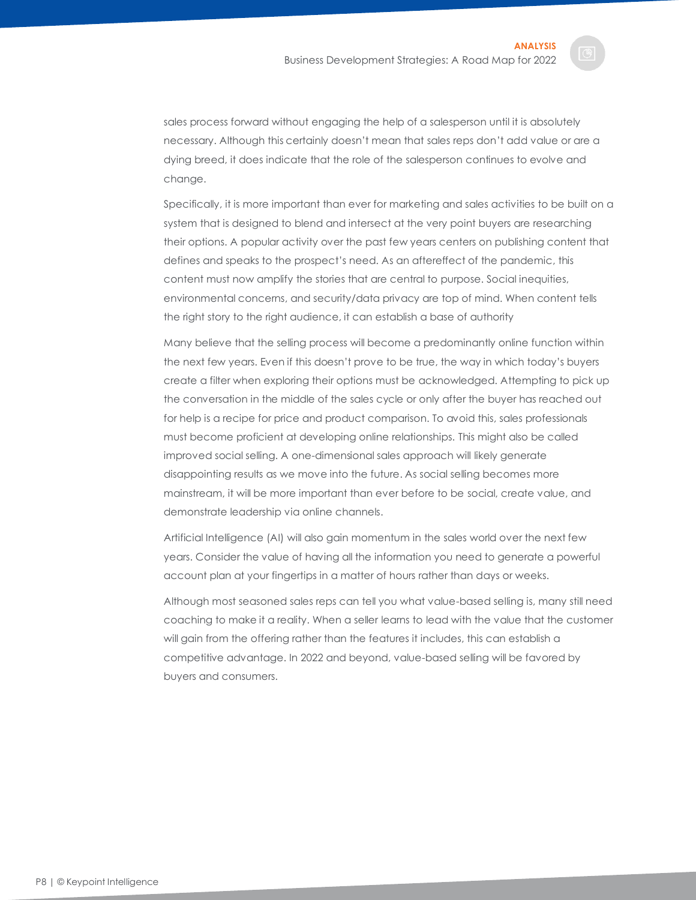sales process forward without engaging the help of a salesperson until it is absolutely necessary. Although this certainly doesn't mean that sales reps don't add value or are a dying breed, it does indicate that the role of the salesperson continues to evolve and change.

Specifically, it is more important than ever for marketing and sales activities to be built on a system that is designed to blend and intersect at the very point buyers are researching their options. A popular activity over the past few years centers on publishing content that defines and speaks to the prospect's need. As an aftereffect of the pandemic, this content must now amplify the stories that are central to purpose. Social inequities, environmental concerns, and security/data privacy are top of mind. When content tells the right story to the right audience, it can establish a base of authority

Many believe that the selling process will become a predominantly online function within the next few years. Even if this doesn't prove to be true, the way in which today's buyers create a filter when exploring their options must be acknowledged. Attempting to pick up the conversation in the middle of the sales cycle or only after the buyer has reached out for help is a recipe for price and product comparison. To avoid this, sales professionals must become proficient at developing online relationships. This might also be called improved social selling. A one-dimensional sales approach will likely generate disappointing results as we move into the future. As social selling becomes more mainstream, it will be more important than ever before to be social, create value, and demonstrate leadership via online channels.

Artificial Intelligence (AI) will also gain momentum in the sales world over the next few years. Consider the value of having all the information you need to generate a powerful account plan at your fingertips in a matter of hours rather than days or weeks.

Although most seasoned sales reps can tell you what value-based selling is, many still need coaching to make it a reality. When a seller learns to lead with the value that the customer will gain from the offering rather than the features it includes, this can establish a competitive advantage. In 2022 and beyond, value-based selling will be favored by buyers and consumers.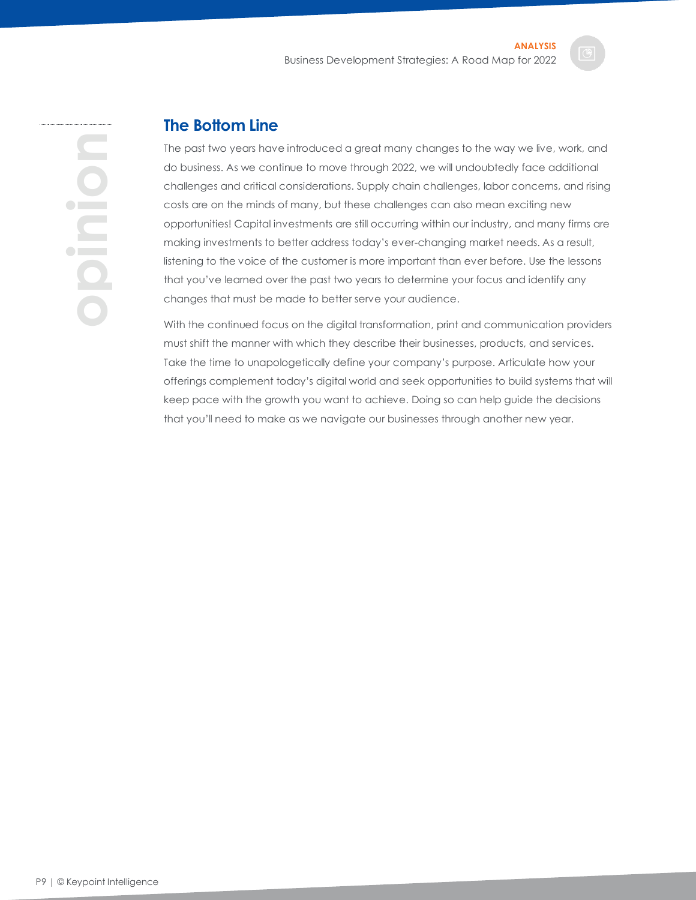**opinion**

# <span id="page-9-0"></span>**The Bottom Line**

The past two years have introduced a great many changes to the way we live, work, and do business. As we continue to move through 2022, we will undoubtedly face additional challenges and critical considerations. Supply chain challenges, labor concerns, and rising costs are on the minds of many, but these challenges can also mean exciting new opportunities! Capital investments are still occurring within our industry, and many firms are making investments to better address today's ever-changing market needs. As a result, listening to the voice of the customer is more important than ever before. Use the lessons that you've learned over the past two years to determine your focus and identify any changes that must be made to better serve your audience.

With the continued focus on the digital transformation, print and communication providers must shift the manner with which they describe their businesses, products, and services. Take the time to unapologetically define your company's purpose. Articulate how your offerings complement today's digital world and seek opportunities to build systems that will keep pace with the growth you want to achieve. Doing so can help guide the decisions that you'll need to make as we navigate our businesses through another new year.